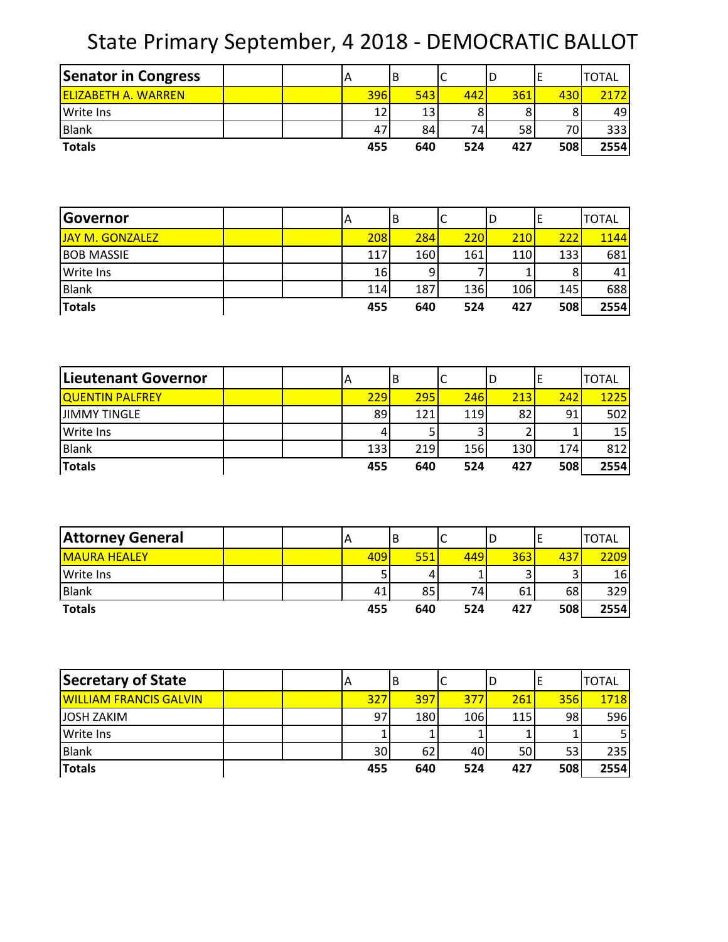## State Primary September, 4 2018 - DEMOCRATIC BALLOT

| <b>Senator in Congress</b> |  |     | IΒ  | ╰   |     |      | <b>TOTAL</b> |
|----------------------------|--|-----|-----|-----|-----|------|--------------|
| <b>ELIZABETH A. WARREN</b> |  | 396 | 543 | 442 | 361 | 4301 | 2172         |
| <b>Write Ins</b>           |  | 12  | 13  |     |     | 8    | 49           |
| <b>Blank</b>               |  | 47  | 84  | 74  | 58  | 701  | 333          |
| <b>Totals</b>              |  | 455 | 640 | 524 | 427 | 508  | 2554         |

| Governor          |  | ΙA  |    | B   | ◡   | ıυ         |     | <b>TOTAL</b> |
|-------------------|--|-----|----|-----|-----|------------|-----|--------------|
| JAY M. GONZALEZ   |  | 208 |    | 284 | 220 | 210        | 222 | 1144         |
| <b>BOB MASSIE</b> |  | 117 |    | 160 | 161 | <b>110</b> | 133 | 681          |
| <b>Write Ins</b>  |  |     | 16 |     |     |            | 8   | 41           |
| Blank             |  | 114 |    | 187 | 136 | 106        | 145 | 688          |
| <b>Totals</b>     |  | 455 |    | 640 | 524 | 427        | 508 | 2554         |

| Lieutenant Governor    |  | IА  | B   | ◡   | ID  |     | <b>TOTAL</b> |
|------------------------|--|-----|-----|-----|-----|-----|--------------|
| <b>QUENTIN PALFREY</b> |  | 229 | 295 | 246 | 213 | 242 | 1225         |
| <b>JIMMY TINGLE</b>    |  | 89  | 121 | 119 | 82  | 91  | 502          |
| <b>Write Ins</b>       |  | 4   |     |     |     |     | 15 I         |
| Blank                  |  | 133 | 219 | 156 | 130 | 174 | 812          |
| <b>Totals</b>          |  | 455 | 640 | 524 | 427 | 508 | 2554         |

| <b>Attorney General</b> | ΙA  | В   | ◡   | ID  |     | <b>TOTAL</b>    |
|-------------------------|-----|-----|-----|-----|-----|-----------------|
| <b>MAURA HEALEY</b>     | 409 | 551 | 449 | 363 | 437 | 2209            |
| Write Ins               |     |     |     | J   |     | 16 <sup>1</sup> |
| <b>Blank</b>            | 41  | 85  | 74  | 61  | 68  | 329             |
| <b>Totals</b>           | 455 | 640 | 524 | 427 | 508 | 2554            |

| Secretary of State            |  | ΙA  | IΒ  |     | ١D  |     | <b>TOTAL</b> |
|-------------------------------|--|-----|-----|-----|-----|-----|--------------|
| <b>WILLIAM FRANCIS GALVIN</b> |  | 327 | 397 | 377 | 261 | 356 | <b>1718</b>  |
| <b>JOSH ZAKIM</b>             |  | 97  | 180 | 106 | 115 | 98  | 596          |
| Write Ins                     |  |     |     |     |     |     |              |
| Blank                         |  | 30  | 62  | 40  | 50  | 53  | 235          |
| <b>Totals</b>                 |  | 455 | 640 | 524 | 427 | 508 | 2554         |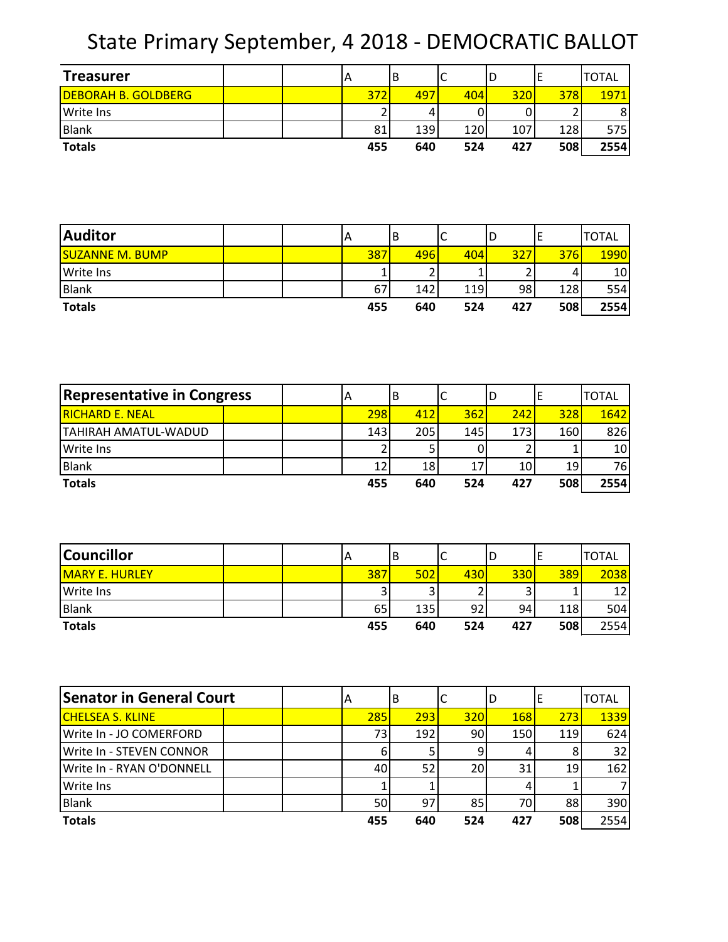State Primary September, 4 2018 - DEMOCRATIC BALLOT

| <b>Treasurer</b>           |  | A   | ΙB  | ◡   | υ   | ட   | <b>TOTAL</b>   |
|----------------------------|--|-----|-----|-----|-----|-----|----------------|
| <b>DEBORAH B. GOLDBERG</b> |  | 372 | 497 | 404 | 320 | 378 | 1971           |
| Write Ins                  |  |     |     |     |     |     | 8 <sup>1</sup> |
| <b>Blank</b>               |  | 81  | 139 | 120 | 107 | 128 | 575            |
| <b>Totals</b>              |  | 455 | 640 | 524 | 427 | 508 | 2554           |

| <b>Auditor</b>         |  |     | ΙB  | ◡   | ∣∪  |     | <b>TOTAL</b> |
|------------------------|--|-----|-----|-----|-----|-----|--------------|
| <b>SUZANNE M. BUMP</b> |  | 387 | 496 | 404 | 327 | 376 | <b>1990</b>  |
| <b>Write Ins</b>       |  |     |     |     |     | 4   | 10           |
| Blank                  |  | 67  | 142 | 119 | 98  | 128 | 554          |
| <b>Totals</b>          |  | 455 | 640 | 524 | 427 | 508 | 2554         |

| <b>Representative in Congress</b> |  | A   | В   | ◡   | ID   |                 | <b>TOTAL</b>    |
|-----------------------------------|--|-----|-----|-----|------|-----------------|-----------------|
| <b>RICHARD E. NEAL</b>            |  | 298 | 412 | 362 | 242  | 328             | 1642            |
| TAHIRAH AMATUL-WADUD              |  | 143 | 205 | 145 | 173I | 160             | 826             |
| <b>Write Ins</b>                  |  |     |     |     |      |                 | 10 <sup>1</sup> |
| <b>Blank</b>                      |  | 12  | 18  | 17  | 10   | 19 <sup>1</sup> | 76              |
| <b>Totals</b>                     |  | 455 | 640 | 524 | 427  | 508             | 2554            |

| <b>Councillor</b>     |  | ΙA     | ΙB  | ֊   | ΙC         |     | <b>TOTAL</b> |
|-----------------------|--|--------|-----|-----|------------|-----|--------------|
| <b>MARY E. HURLEY</b> |  | 387    | 502 | 430 | <b>330</b> | 389 | 2038         |
| Write Ins             |  | ◠<br>ر |     | ⌒   |            |     | 12           |
| <b>Blank</b>          |  | 65     | 135 | 92  | 94         | 118 | 504          |
| <b>Totals</b>         |  | 455    | 640 | 524 | 427        | 508 | 2554         |

| <b>Senator in General Court</b> | ΙA  | ΙB  |     | ID  |     | <b>TOTAL</b> |
|---------------------------------|-----|-----|-----|-----|-----|--------------|
| <b>CHELSEA S. KLINE</b>         | 285 | 293 | 320 | 168 | 273 | 1339         |
| Write In - JO COMERFORD         | 73  | 192 | 90  | 150 | 119 | 624          |
| Write In - STEVEN CONNOR        | 6   |     |     |     |     | 32           |
| Write In - RYAN O'DONNELL       | 40  | 52  | 20  | 31  | 19  | 162          |
| <b>Write Ins</b>                |     |     |     |     |     |              |
| <b>Blank</b>                    | 50  | 97  | 85  | 70) | 88  | 390          |
| <b>Totals</b>                   | 455 | 640 | 524 | 427 | 508 | 2554         |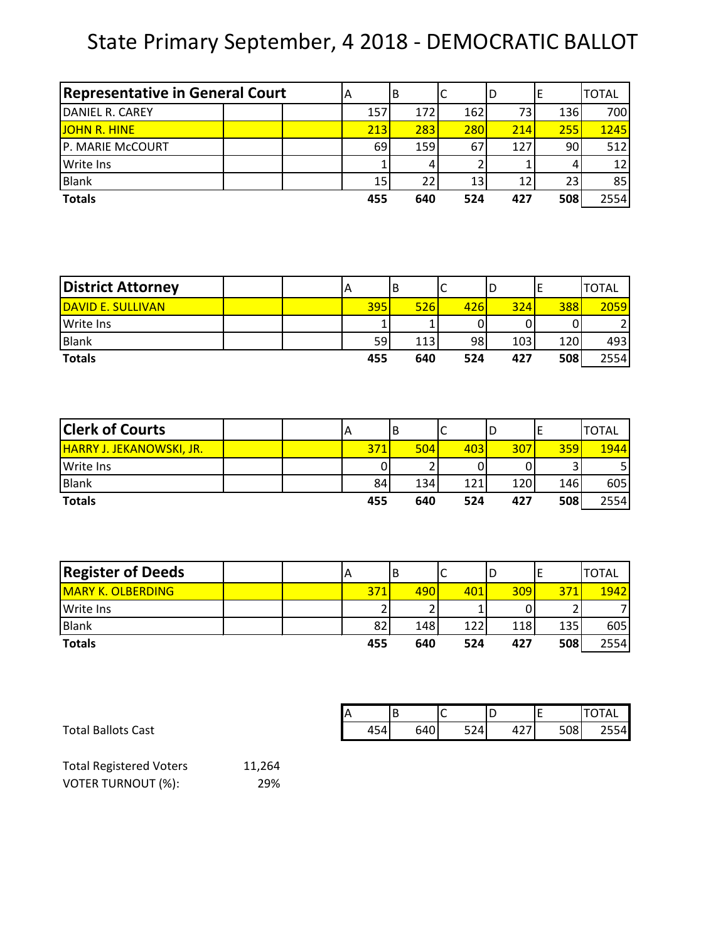## State Primary September, 4 2018 - DEMOCRATIC BALLOT

| <b>Representative in General Court</b> | A   | В          |     | ΙD  |     | <b>TOTAL</b> |
|----------------------------------------|-----|------------|-----|-----|-----|--------------|
| DANIEL R. CAREY                        | 157 | 172        | 162 |     | 136 | 700          |
| <b>JOHN R. HINE</b>                    | 213 | 283        | 280 | 214 | 255 | 1245         |
| P. MARIE McCOURT                       | 69  | <b>159</b> | 67  | 127 | 90  | 512          |
| <b>Write Ins</b>                       |     |            |     |     |     | 12           |
| <b>Blank</b>                           | 15  | 22         | 13  |     | 23  | 85           |
| <b>Totals</b>                          | 455 | 640        | 524 | 427 | 508 | 2554         |

| <b>District Attorney</b> |  | IΑ  | ΙB         | ╭<br>╰ | 'D  |     | <b>TOTAL</b> |
|--------------------------|--|-----|------------|--------|-----|-----|--------------|
| DAVID E. SULLIVAN        |  | 395 | <b>526</b> | 426    | 324 | 388 | 2059         |
| <b>Write Ins</b>         |  |     |            |        |     |     |              |
| <b>Blank</b>             |  | 59  | 113        | 98     | 103 | 120 | 493          |
| <b>Totals</b>            |  | 455 | 640        | 524    | 427 | 508 | 2554         |

| <b>Clerk of Courts</b>          |  | A   | B   | ◡   | ۱D   |     | <b>TOTAL</b> |
|---------------------------------|--|-----|-----|-----|------|-----|--------------|
| <b>HARRY J. JEKANOWSKI, JR.</b> |  | 371 | 504 | 403 | 307  | 359 | 1944         |
| <b>Write Ins</b>                |  | 0   |     |     |      |     |              |
| <b>Blank</b>                    |  | 84  | 134 | 121 | 120l | 146 | 605          |
| <b>Totals</b>                   |  | 455 | 640 | 524 | 427  | 508 | 2554         |

| <b>Register of Deeds</b> |  | ΙA  | B   | ֊   | ID  |     | <b>TOTAL</b> |
|--------------------------|--|-----|-----|-----|-----|-----|--------------|
| <b>MARY K. OLBERDING</b> |  | 371 | 490 | 401 | 309 | 371 | 1942         |
| <b>I</b> Write Ins       |  | ∽   |     |     |     |     |              |
| Blank                    |  | 82  | 148 | 122 | 118 | 135 | 605          |
| <b>Totals</b>            |  | 455 | 640 | 524 | 427 | 508 | 2554         |

|                           | r |     |     | ∽<br>∼ | ١L                          | . . | <b>OTAL</b> |
|---------------------------|---|-----|-----|--------|-----------------------------|-----|-------------|
| <b>Total Ballots Cast</b> |   | 454 | 640 | 524    | $\sim$ $\sim$ $\sim$<br>447 | 508 | 2554        |

| <b>Total Registered Voters</b> | 11,264 |
|--------------------------------|--------|
| <b>VOTER TURNOUT (%):</b>      | 29%    |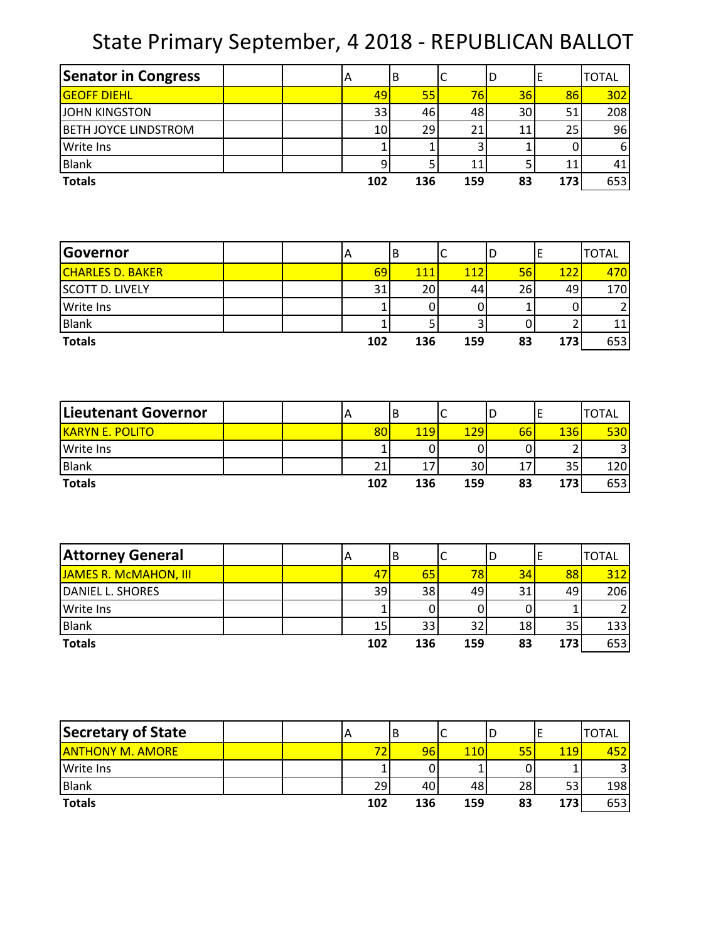## State Primary September, 4 2018 - REPUBLICAN BALLOT

| <b>Senator in Congress</b>  |  | IА  | B   | J   | D  |     | <b>TOTAL</b> |
|-----------------------------|--|-----|-----|-----|----|-----|--------------|
| <b>GEOFF DIEHL</b>          |  | 49  | 55  | 76  | 36 | 86  | 302          |
| <b>JOHN KINGSTON</b>        |  | 33  | 46  | 48  | 30 |     | 208          |
| <b>BETH JOYCE LINDSTROM</b> |  | 10  | 29  | 21  |    | 25. | 96           |
| <b>Write Ins</b>            |  |     |     |     |    |     | 6            |
| <b>Blank</b>                |  |     |     | 11  |    |     | 41           |
| <b>Totals</b>               |  | 102 | 136 | 159 | 83 | 173 | 653          |

| <b>Governor</b>         |  | ΙA  | B   | ֊   | ID |     | <b>TOTAL</b> |
|-------------------------|--|-----|-----|-----|----|-----|--------------|
| <b>CHARLES D. BAKER</b> |  | 69  | 111 | 112 | 56 | 122 | 470I         |
| <b>SCOTT D. LIVELY</b>  |  | 31  | 20  | 44  | 26 | 491 | 170          |
| <b>Write Ins</b>        |  |     |     |     |    |     |              |
| Blank                   |  |     |     |     |    |     | 11           |
| <b>Totals</b>           |  | 102 | 136 | 159 | 83 | 173 | 653          |

| Lieutenant Governor    |  | ΙA  | В          | ֊   | ۱D |            | <b>TOTAL</b> |
|------------------------|--|-----|------------|-----|----|------------|--------------|
| <b>KARYN E. POLITO</b> |  | 80  | <b>119</b> | 129 | 66 | <b>136</b> | <b>530</b>   |
| <b>Write Ins</b>       |  |     |            |     |    |            |              |
| <b>Blank</b>           |  | 21  | 17         | 30  |    | 35         | 120          |
| <b>Totals</b>          |  | 102 | 136        | 159 | 83 | 173        | 653          |

| <b>Attorney General</b> | ΙA  | В   |     | ΙU |     | <b>TOTAL</b> |
|-------------------------|-----|-----|-----|----|-----|--------------|
| JAMES R. McMAHON, III   | 47  | 65  | 78  | 34 | 88  | 312          |
| DANIEL L. SHORES        | 39  | 38  | 49  | 31 | 49  | 206          |
| <b>Write Ins</b>        |     |     |     |    |     |              |
| <b>Blank</b>            | 15  | 33  | 32  | 18 | 35  | 133          |
| <b>Totals</b>           | 102 | 136 | 159 | 83 | 173 | 653          |

| Secretary of State      |  | IА  | В   | ֊          | ID |     | <b>TOTAL</b> |
|-------------------------|--|-----|-----|------------|----|-----|--------------|
| <b>ANTHONY M. AMORE</b> |  | 72  | 96  | <b>110</b> | 55 | 119 |              |
| <b>Write Ins</b>        |  |     |     |            |    |     |              |
| Blank                   |  | 29  | 40  | 48         | 28 | 53  | 198          |
| <b>Totals</b>           |  | 102 | 136 | 159        | 83 | 173 | 653          |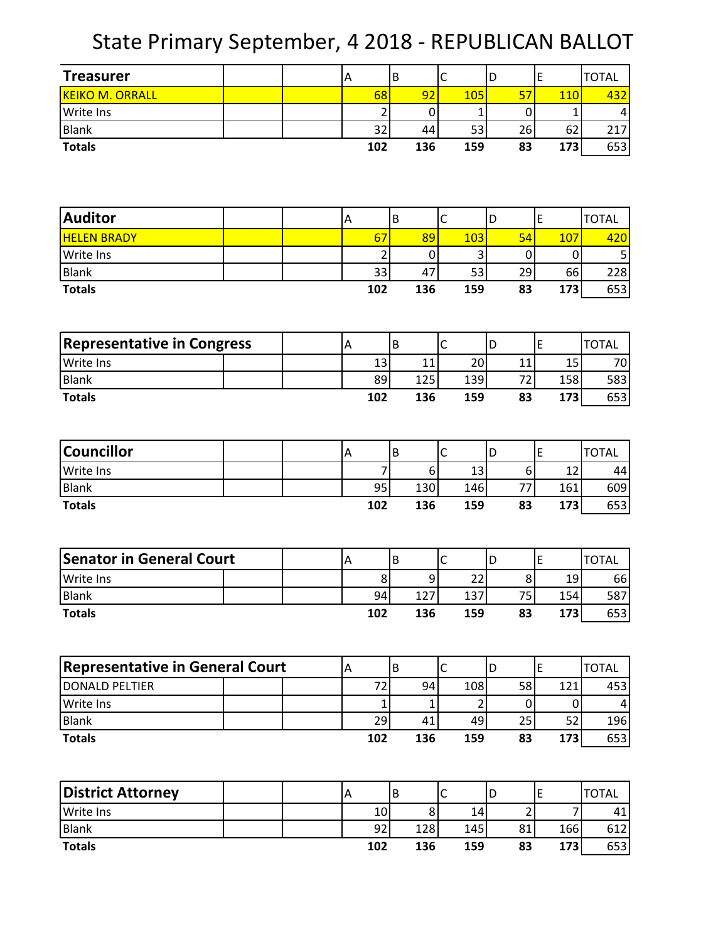State Primary September, 4 2018 - REPUBLICAN BALLOT

| <b>Treasurer</b>                       | A              |                | B |                | $\mathsf{C}$ |     | D  |                | E              | <b>TOTAL</b>    |
|----------------------------------------|----------------|----------------|---|----------------|--------------|-----|----|----------------|----------------|-----------------|
| <b>KEIKO M. ORRALL</b>                 |                | 68             |   | 92             |              | 105 | 57 |                | <b>110</b>     | 432             |
| Write Ins                              |                | 2              |   | 0              |              | 1   |    | 0              | $\mathbf 1$    | 4               |
| <b>Blank</b>                           |                | 32             |   | 44             |              | 53  | 26 |                | 62             | 217             |
| <b>Totals</b>                          |                | 102            |   | 136            |              | 159 | 83 |                | 173            | 653             |
|                                        |                |                |   |                |              |     |    |                |                |                 |
|                                        |                |                |   |                |              |     |    |                |                |                 |
|                                        |                |                |   |                |              |     |    |                |                |                 |
| <b>Auditor</b>                         | A              |                | B |                | $\mathsf{C}$ |     | D  |                | E              | <b>TOTAL</b>    |
| <b>HELEN BRADY</b>                     |                | 67             |   | 89             |              | 103 | 54 |                | 107            | 420             |
| Write Ins                              |                | $\overline{2}$ |   | $\mathbf 0$    |              | 3   |    | 0              | $\mathbf 0$    | 5               |
| <b>Blank</b>                           |                | 33             |   | 47             |              | 53  | 29 |                | 66             | 228             |
| <b>Totals</b>                          |                | 102            |   | 136            |              | 159 | 83 |                | 173            | 653             |
|                                        |                |                |   |                |              |     |    |                |                |                 |
|                                        |                |                |   |                |              |     |    |                |                |                 |
| <b>Representative in Congress</b>      | A              |                | B |                | $\mathsf C$  |     | D  |                | $\mathsf E$    | <b>TOTAL</b>    |
| Write Ins                              |                | 13             |   | 11             |              | 20  | 11 |                | 15             | 70              |
| <b>Blank</b>                           |                | 89             |   | 125            |              | 139 | 72 |                | 158            | 583             |
| <b>Totals</b>                          |                | 102            |   | 136            |              | 159 | 83 |                | 173            | 653             |
|                                        |                |                |   |                |              |     |    |                |                |                 |
|                                        |                |                |   |                |              |     |    |                |                |                 |
| <b>Councillor</b>                      | A              |                | B |                | $\mathsf C$  |     | D  |                | E              | <b>TOTAL</b>    |
| Write Ins                              |                | 7              |   | 6 <sup>1</sup> |              | 13  |    | 6              | 12             | 44              |
| <b>Blank</b>                           |                | 95             |   | 130            |              | 146 | 77 |                | 161            | 609             |
| <b>Totals</b>                          |                | 102            |   | 136            |              | 159 | 83 |                | 173            | 653             |
|                                        |                |                |   |                |              |     |    |                |                |                 |
|                                        |                |                |   |                |              |     |    |                |                |                 |
| <b>Senator in General Court</b>        | A              |                | B |                | $\mathsf{C}$ |     | D  |                | E              | <b>TOTAL</b>    |
| Write Ins                              |                | 8              |   | 9              |              | 22  |    | 8              | 19             | 66              |
| <b>Blank</b>                           |                | 94             |   | 127            |              | 137 | 75 |                | 154            | 587             |
| <b>Totals</b>                          |                | 102            |   | 136            |              | 159 | 83 |                | 173            | 653             |
|                                        |                |                |   |                |              |     |    |                |                |                 |
|                                        |                |                |   |                |              |     |    |                |                |                 |
| <b>Representative in General Court</b> | A              |                | B |                | $\mathsf{C}$ |     | D  |                | E              | <b>TOTAL</b>    |
| <b>DONALD PELTIER</b>                  |                | 72             |   | 94             |              | 108 | 58 |                | 121            | 453             |
| Write Ins                              |                | $\mathbf{1}$   |   | $\mathbf 1$    |              | 2   |    | 0              | $\mathbf 0$    | $\vert 4 \vert$ |
| Blank                                  |                | 29             |   | 41             |              | 49  | 25 |                | 52             | 196             |
| <b>Totals</b>                          |                | 102            |   | 136            |              | 159 | 83 |                | 173            | 653             |
|                                        |                |                |   |                |              |     |    |                |                |                 |
|                                        |                |                |   |                |              |     |    |                |                |                 |
| <b>District Attorney</b>               | $\overline{A}$ |                | B |                | $\mathsf C$  |     | D  |                | E              | <b>TOTAL</b>    |
| Write Ins                              |                | $10\,$         |   | 8 <sup>1</sup> |              | 14  |    | $\overline{2}$ | $\overline{7}$ | 41              |
| Blank                                  |                | 92             |   | 128            |              | 145 | 81 |                | 166            | 612             |

**Totals 102 136 159 83 173** 653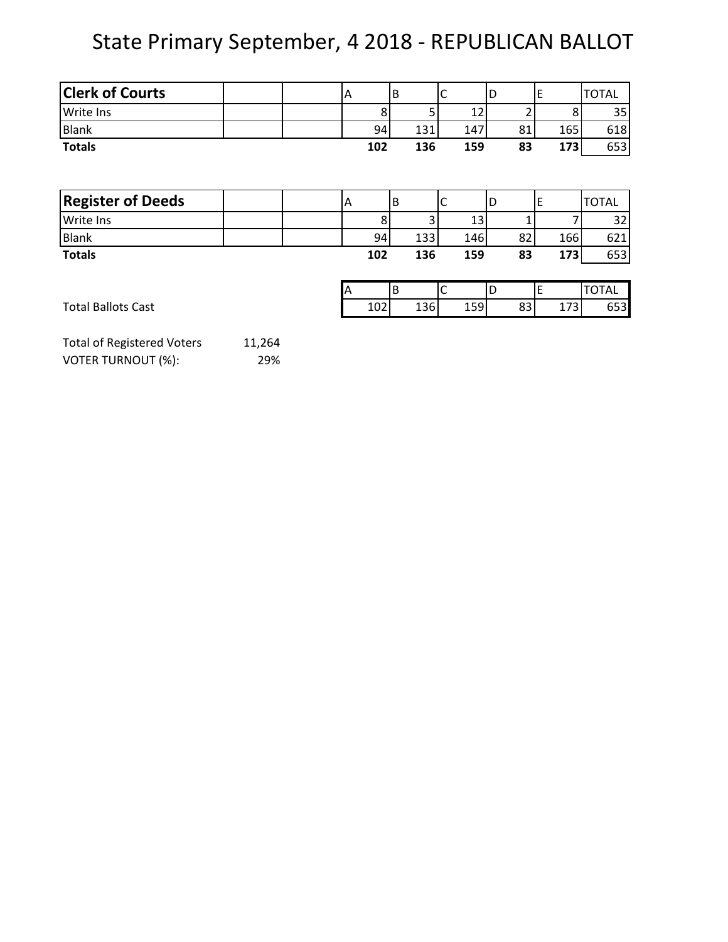## State Primary September, 4 2018 - REPUBLICAN BALLOT

| <b>Clerk of Courts</b> |  |     | B |     |     | ┕  |            | <b>TOTAL</b> |
|------------------------|--|-----|---|-----|-----|----|------------|--------------|
| <b>Write Ins</b>       |  |     |   |     |     |    | ٥          | 35           |
| <b>Blank</b>           |  | 94  |   | 131 | 147 | 81 | 165        | 618          |
| <b>Totals</b>          |  | 102 |   | 136 | 159 | 83 | <b>173</b> | 653          |

| <b>Register of Deeds</b>  |  | IА |     | B |     |     | ID |    |     | <b>TOTAL</b> |
|---------------------------|--|----|-----|---|-----|-----|----|----|-----|--------------|
| Write Ins                 |  |    |     |   |     | 13  |    |    |     | 32           |
| <b>Blank</b>              |  |    | 94  |   | 133 | 146 |    | 82 | 166 | 621          |
| <b>Totals</b>             |  |    | 102 |   | 136 | 159 |    | 83 | 173 | 653          |
|                           |  |    |     |   |     |     |    |    |     |              |
|                           |  | A  |     | В |     |     | ID |    |     | <b>TOTAL</b> |
| <b>Total Ballots Cast</b> |  |    | 102 |   | 136 | 159 |    | 83 | 173 | 653          |

| <b>Total of Registered Voters</b> | 11,264 |
|-----------------------------------|--------|
| VOTER TURNOUT (%):                | 29%    |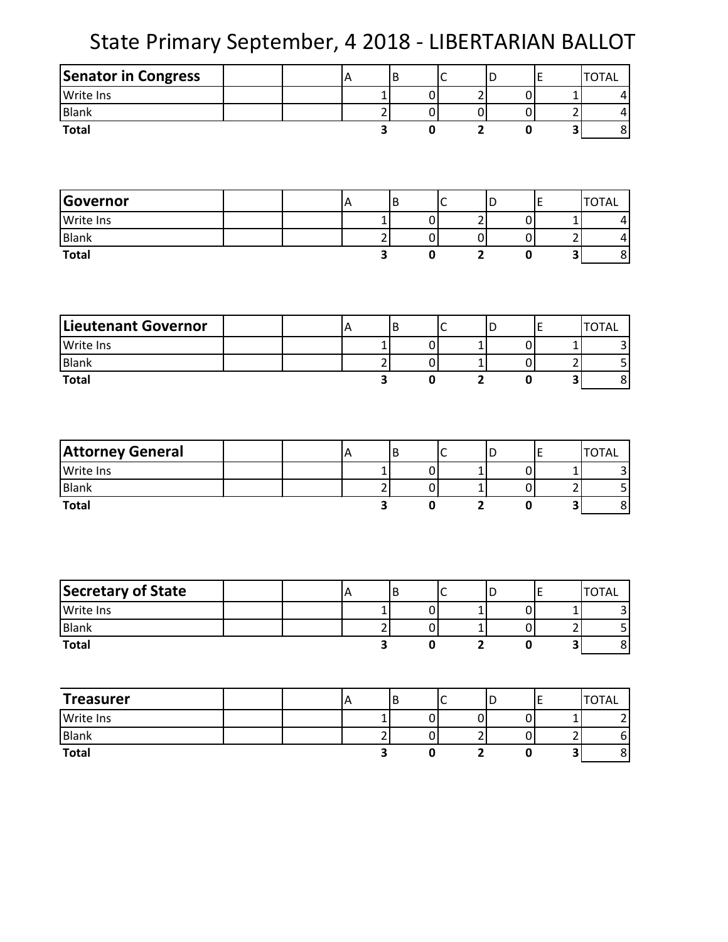State Primary September, 4 2018 - LIBERTARIAN BALLOT

| Senator in Congress        | A                       | $\sf B$                 | C              | D                       | E                              | <b>TOTAL</b>                              |
|----------------------------|-------------------------|-------------------------|----------------|-------------------------|--------------------------------|-------------------------------------------|
| Write Ins                  |                         | $\mathbf{1}$            | $\pmb{0}$      | $\overline{2}$          | $\boldsymbol{0}$               | $\mathbf 1$<br>$\vert 4 \vert$            |
| <b>Blank</b>               |                         | $\overline{c}$          | $\overline{0}$ | $\mathbf 0$             | $\mathbf{O}$                   | $\overline{c}$<br>$\vert 4 \vert$         |
| <b>Total</b>               |                         | 3                       | $\mathbf 0$    | $\overline{\mathbf{2}}$ | $\pmb{0}$                      | $\mathbf{8}$<br>$\overline{\mathbf{3}}$   |
|                            |                         |                         |                |                         |                                |                                           |
|                            |                         |                         |                |                         |                                |                                           |
|                            |                         |                         |                |                         |                                |                                           |
| Governor                   | $\overline{A}$          | $\sf B$                 | $\mathsf C$    | D                       | E                              | <b>TOTAL</b>                              |
| <b>Write Ins</b>           |                         | $\mathbf{1}$            | $\pmb{0}$      | $\overline{c}$          | 0                              | $\mathbf 1$<br>$\vert 4 \vert$            |
| <b>Blank</b>               |                         | $\overline{2}$          | $\overline{0}$ | $\pmb{0}$               | $\overline{0}$                 | $\overline{2}$<br>$\vert 4 \vert$         |
| <b>Total</b>               |                         | 3                       | $\mathbf 0$    | $\overline{\mathbf{2}}$ | $\pmb{0}$                      | $\mathbf{8}$<br>3                         |
|                            |                         |                         |                |                         |                                |                                           |
|                            |                         |                         |                |                         |                                |                                           |
| <b>Lieutenant Governor</b> |                         | B                       | $\mathsf C$    | D                       | E                              | <b>TOTAL</b>                              |
|                            | A                       | $\mathbf 1$             | $\overline{0}$ |                         |                                | $\mathbf 1$                               |
| Write Ins<br><b>Blank</b>  |                         | $\overline{2}$          | $\overline{0}$ | 1<br>$\mathbf{1}$       | $\overline{0}$<br>$\mathbf{O}$ | $\vert 3 \vert$<br>$\overline{c}$         |
| <b>Total</b>               |                         | 3                       | $\mathbf 0$    | $\overline{\mathbf{2}}$ | $\pmb{0}$                      | $\frac{5}{8}$<br>3                        |
|                            |                         |                         |                |                         |                                |                                           |
|                            |                         |                         |                |                         |                                |                                           |
|                            |                         |                         |                |                         |                                |                                           |
| <b>Attorney General</b>    | $\overline{\mathsf{A}}$ | $\sf B$                 | $\mathsf C$    | D                       | E                              | <b>TOTAL</b>                              |
| Write Ins                  |                         | $\mathbf 1$             | $\pmb{0}$      | 1                       | $\boldsymbol{0}$               | $\mathbf 1$<br>$\vert 3 \vert$            |
| Blank                      |                         | $\mathbf 2$             | $\overline{0}$ | 1                       | $\overline{0}$                 | $\overline{5}$<br>$\mathbf 2$             |
| <b>Total</b>               |                         | $\overline{\mathbf{3}}$ | $\mathbf 0$    | $\overline{\mathbf{2}}$ | $\mathbf 0$                    | $\overline{8}$<br>$\overline{\mathbf{3}}$ |
|                            |                         |                         |                |                         |                                |                                           |
|                            |                         |                         |                |                         |                                |                                           |
|                            |                         |                         |                |                         |                                |                                           |
|                            |                         |                         |                |                         |                                |                                           |
| Secretary of State         | ΙA                      | В                       | C              | D                       | E                              | TOTAL                                     |
| Write Ins                  |                         | $\mathbf 1$             | $\overline{0}$ | $\mathbf{1}$            | $\overline{0}$                 | $\vert$ 3<br>$\mathbf{1}$                 |
| <b>Blank</b>               |                         | $\mathbf 2$             | $\overline{0}$ | $\mathbf{1}$            | $\overline{0}$                 | $\mathsf{S}$<br>$\overline{2}$            |
| <b>Total</b>               |                         | 3                       | $\pmb{0}$      | $\overline{\mathbf{2}}$ | $\pmb{0}$                      | $\bf 8$<br>$\vert$ 3                      |
|                            |                         |                         |                |                         |                                |                                           |
| <b>Treasurer</b>           | $\overline{A}$          | $\sf B$                 | $\mathsf C$    | D                       | E                              | <b>TOTAL</b>                              |
| Write Ins                  |                         | $\mathbf 1$             | $\overline{0}$ | $\pmb{0}$               | $\overline{0}$                 | $\mathbf{1}$<br>$\mathbf{2}$              |
| <b>Blank</b>               |                         | $\overline{2}$          | $\overline{0}$ | $\overline{2}$          | $\overline{0}$                 | $\overline{c}$<br>$6 \mid$                |
| <b>Total</b>               |                         | 3                       | $\pmb{0}$      | $\overline{2}$          | $\pmb{0}$                      | $\overline{\mathbf{3}}$<br>$\mathbf{8}$   |
|                            |                         |                         |                |                         |                                |                                           |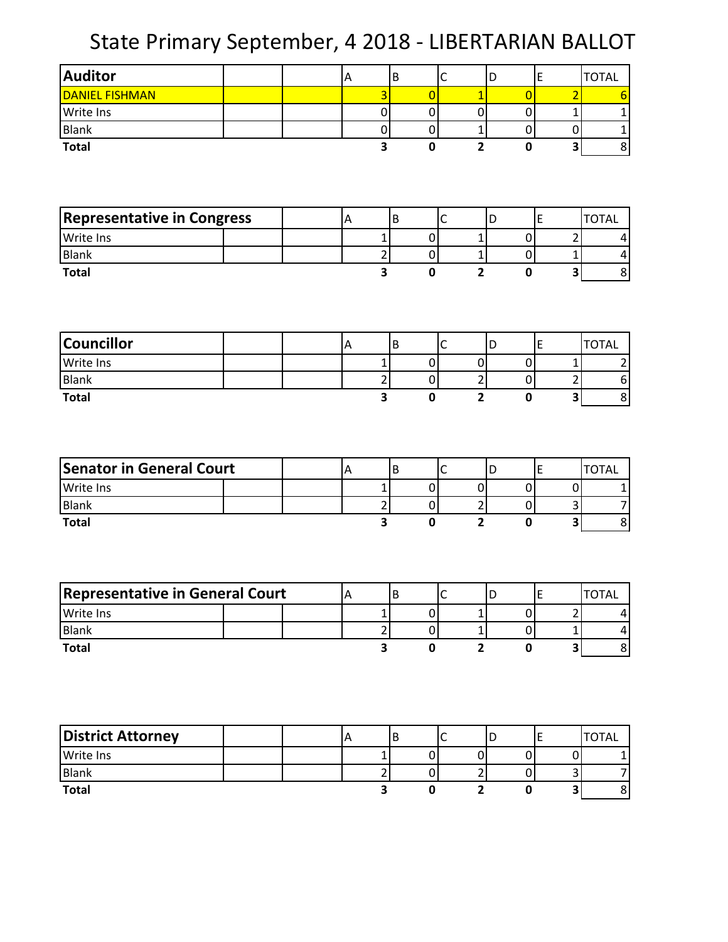State Primary September, 4 2018 - LIBERTARIAN BALLOT

| <b>Auditor</b>                    |  | A | B                       | C              | D                                | E                | <b>TOTAL</b>                                       |
|-----------------------------------|--|---|-------------------------|----------------|----------------------------------|------------------|----------------------------------------------------|
| <b>DANIEL FISHMAN</b>             |  |   | 3                       | $\overline{0}$ | $\overline{1}$                   | $\overline{0}$   | $\overline{2}$<br>6                                |
| Write Ins                         |  |   | $\pmb{0}$               | $\pmb{0}$      | $\pmb{0}$                        | $\boldsymbol{0}$ | $\mathbf{1}$<br>$\mathbf 1$                        |
| <b>Blank</b>                      |  |   | $\pmb{0}$               | $\pmb{0}$      | $\mathbf{1}$                     | $\boldsymbol{0}$ | $\pmb{0}$<br>$\mathbf 1$                           |
| <b>Total</b>                      |  |   | 3                       | $\mathbf 0$    | $\overline{2}$                   | $\pmb{0}$        | $\mathbf{3}$<br>8                                  |
|                                   |  |   |                         |                |                                  |                  |                                                    |
|                                   |  |   |                         |                |                                  |                  |                                                    |
| <b>Representative in Congress</b> |  | A | B                       | $\mathsf{C}$   | D                                | $\mathsf E$      | <b>TOTAL</b>                                       |
| Write Ins                         |  |   | $\mathbf 1$             | $\pmb{0}$      | $\mathbf{1}$                     | 0                | $\overline{2}$<br>4                                |
| <b>Blank</b>                      |  |   | $\mathbf 2$             | $\pmb{0}$      | $\mathbf{1}$                     | $\boldsymbol{0}$ | $\mathbf 1$<br>4                                   |
| <b>Total</b>                      |  |   | $\overline{\mathbf{3}}$ | $\mathbf 0$    | $\overline{2}$                   | $\pmb{0}$        | υ<br>8                                             |
|                                   |  |   |                         |                |                                  |                  |                                                    |
| <b>Councillor</b>                 |  | A | B                       | $\mathsf C$    | D                                | E                | <b>TOTAL</b>                                       |
| Write Ins                         |  |   | $\mathbf{1}$            | $\pmb{0}$      | $\pmb{0}$                        | $\overline{0}$   | $\mathbf 1$<br>$\overline{\mathbf{c}}$             |
| <b>Blank</b>                      |  |   | $\overline{2}$          | $\pmb{0}$      | $\overline{2}$                   | $\overline{0}$   | $\overline{2}$<br>$\boldsymbol{6}$                 |
| <b>Total</b>                      |  |   | $\overline{\mathbf{3}}$ | $\mathbf 0$    | $\overline{2}$                   | $\pmb{0}$        | $\mathbf{8}$<br>$\vert$ 3                          |
|                                   |  |   |                         |                |                                  |                  |                                                    |
| <b>Senator in General Court</b>   |  | A | B                       | $\mathsf{C}$   | D                                | E                | <b>TOTAL</b>                                       |
| Write Ins                         |  |   | $\mathbf 1$             | $\pmb{0}$      | $\pmb{0}$                        | $\boldsymbol{0}$ | $\mathbf 0$<br>$\mathbf{1}$                        |
| <b>Blank</b>                      |  |   | $\mathbf 2$             | $\pmb{0}$      | $\overline{2}$<br>$\overline{2}$ | $\boldsymbol{0}$ | $\overline{\mathbf{3}}$<br>$\overline{7}$          |
| <b>Total</b>                      |  |   | $\overline{\mathbf{3}}$ | $\mathbf 0$    |                                  | $\mathbf 0$      | 8<br>$\mathbf{3}$                                  |
|                                   |  |   |                         |                |                                  |                  |                                                    |
| Representative in General Court   |  | Α | B                       | C              | D                                | E                | <b>TOTAL</b>                                       |
| Write Ins                         |  |   | $\mathbf 1$             | $\overline{0}$ | $\mathbf{1}$                     | 0                | $\overline{2}$<br>4                                |
| <b>Blank</b>                      |  |   | $\overline{c}$          | $\overline{0}$ | $1\vert$                         | 0                | $\mathbf 1$<br>4                                   |
| <b>Total</b>                      |  |   | $\overline{\mathbf{3}}$ | $\pmb{0}$      | $\overline{2}$                   | $\mathbf 0$      | $\boldsymbol{8}$<br>$\vert$                        |
|                                   |  |   |                         |                |                                  |                  |                                                    |
|                                   |  |   |                         |                |                                  |                  |                                                    |
| <b>District Attorney</b>          |  | A | $\sf B$                 | $\mathsf{C}$   | D                                | E                | <b>TOTAL</b>                                       |
| Write Ins                         |  |   | $\mathbf{1}$            | $\pmb{0}$      | $\overline{0}$                   | $\boldsymbol{0}$ | $\pmb{0}$<br>$\mathbf{1}$                          |
| Blank                             |  |   | $\overline{2}$          | $\pmb{0}$      | $\overline{2}$                   | $\overline{0}$   | $\overline{\mathbf{7}}$<br>$\overline{\mathbf{3}}$ |
| <b>Total</b>                      |  |   | $\overline{\mathbf{3}}$ | $\pmb{0}$      | $\overline{2}$                   | $\pmb{0}$        | $\mathbf{8}$<br>$\vert$                            |